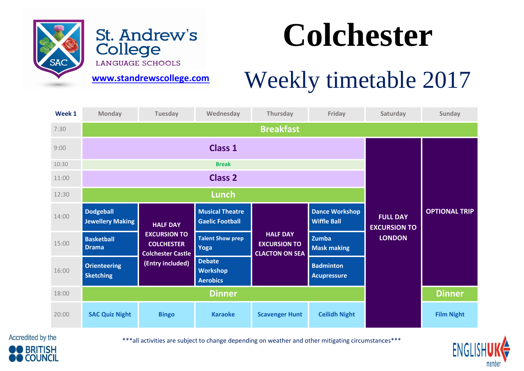

St. Andrew's College

## **Colchester**

LANGUAGE SCHOOLS

**[www.standrewscollege.com](http://www.standrewscollege.com/)** 

## Weekly timetable 2017

| Week 1 | <b>Monday</b>                               | <b>Tuesday</b>                                                                          | Wednesday                                           | Thursday                                                        | Friday                                      | Saturday                                                | Sunday               |
|--------|---------------------------------------------|-----------------------------------------------------------------------------------------|-----------------------------------------------------|-----------------------------------------------------------------|---------------------------------------------|---------------------------------------------------------|----------------------|
| 7:30   |                                             |                                                                                         |                                                     | <b>Breakfast</b>                                                |                                             |                                                         |                      |
| 9:00   |                                             |                                                                                         | <b>Class 1</b>                                      |                                                                 |                                             |                                                         |                      |
| 10:30  |                                             |                                                                                         | <b>Break</b>                                        |                                                                 |                                             |                                                         |                      |
| 11:00  |                                             |                                                                                         | <b>Class 2</b>                                      |                                                                 |                                             |                                                         |                      |
| 12:30  |                                             |                                                                                         | Lunch                                               |                                                                 |                                             |                                                         |                      |
| 14:00  | <b>Dodgeball</b><br><b>Jewellery Making</b> | <b>HALF DAY</b><br><b>EXCURSION TO</b><br><b>COLCHESTER</b><br><b>Colchester Castle</b> | <b>Musical Theatre</b><br><b>Gaelic Football</b>    | <b>HALF DAY</b><br><b>EXCURSION TO</b><br><b>CLACTON ON SEA</b> | <b>Dance Workshop</b><br><b>Wiffle Ball</b> | <b>FULL DAY</b><br><b>EXCURSION TO</b><br><b>LONDON</b> | <b>OPTIONAL TRIP</b> |
| 15:00  | <b>Basketball</b><br><b>Drama</b>           |                                                                                         | <b>Talent Show prep</b><br>Yoga                     |                                                                 | Zumba<br><b>Mask making</b>                 |                                                         |                      |
| 16:00  | <b>Orienteering</b><br><b>Sketching</b>     | (Entry included)                                                                        | <b>Debate</b><br><b>Workshop</b><br><b>Aerobics</b> |                                                                 | <b>Badminton</b><br><b>Acupressure</b>      |                                                         |                      |
| 18:00  |                                             |                                                                                         |                                                     | <b>Dinner</b>                                                   |                                             |                                                         |                      |
| 20:00  | <b>SAC Quiz Night</b>                       | <b>Bingo</b>                                                                            | <b>Karaoke</b>                                      | <b>Scavenger Hunt</b>                                           | <b>Ceilidh Night</b>                        |                                                         | <b>Film Night</b>    |

Accredited by the **BRITISH COUNCIL** 

\*\*\*all activities are subject to change depending on weather and other mitigating circumstances\*\*\*